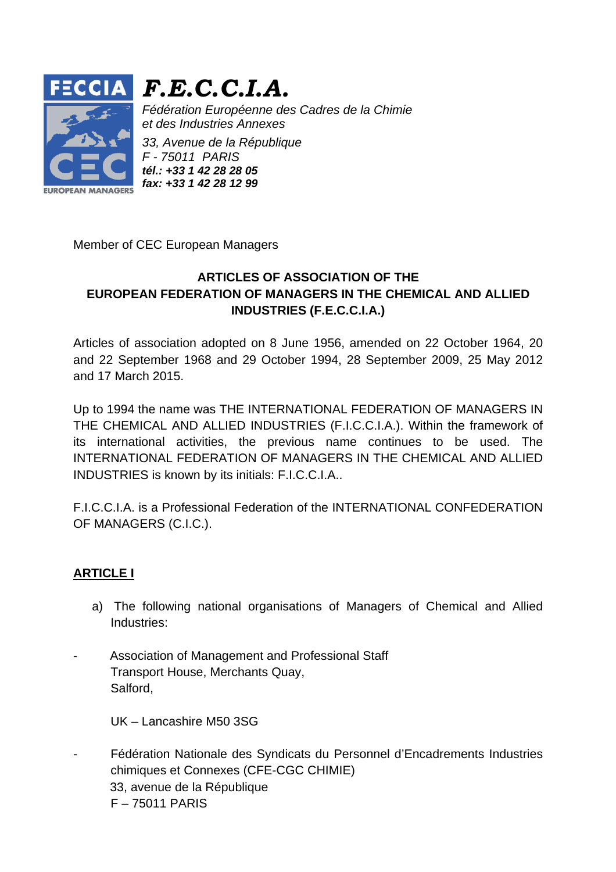

# *F.E.C.C.I.A.*

*Fédération Européenne des Cadres de la Chimie et des Industries Annexes* 

*33, Avenue de la République F - 75011 PARIS tél.: +33 1 42 28 28 05 fax: +33 1 42 28 12 99*

Member of CEC European Managers

# **ARTICLES OF ASSOCIATION OF THE EUROPEAN FEDERATION OF MANAGERS IN THE CHEMICAL AND ALLIED INDUSTRIES (F.E.C.C.I.A.)**

Articles of association adopted on 8 June 1956, amended on 22 October 1964, 20 and 22 September 1968 and 29 October 1994, 28 September 2009, 25 May 2012 and 17 March 2015.

Up to 1994 the name was THE INTERNATIONAL FEDERATION OF MANAGERS IN THE CHEMICAL AND ALLIED INDUSTRIES (F.I.C.C.I.A.). Within the framework of its international activities, the previous name continues to be used. The INTERNATIONAL FEDERATION OF MANAGERS IN THE CHEMICAL AND ALLIED INDUSTRIES is known by its initials: F.I.C.C.I.A..

F.I.C.C.I.A. is a Professional Federation of the INTERNATIONAL CONFEDERATION OF MANAGERS (C.I.C.).

# **ARTICLE I**

- a) The following national organisations of Managers of Chemical and Allied Industries:
- Association of Management and Professional Staff Transport House, Merchants Quay, Salford,

UK – Lancashire M50 3SG

- Fédération Nationale des Syndicats du Personnel d'Encadrements Industries chimiques et Connexes (CFE-CGC CHIMIE) 33, avenue de la République F – 75011 PARIS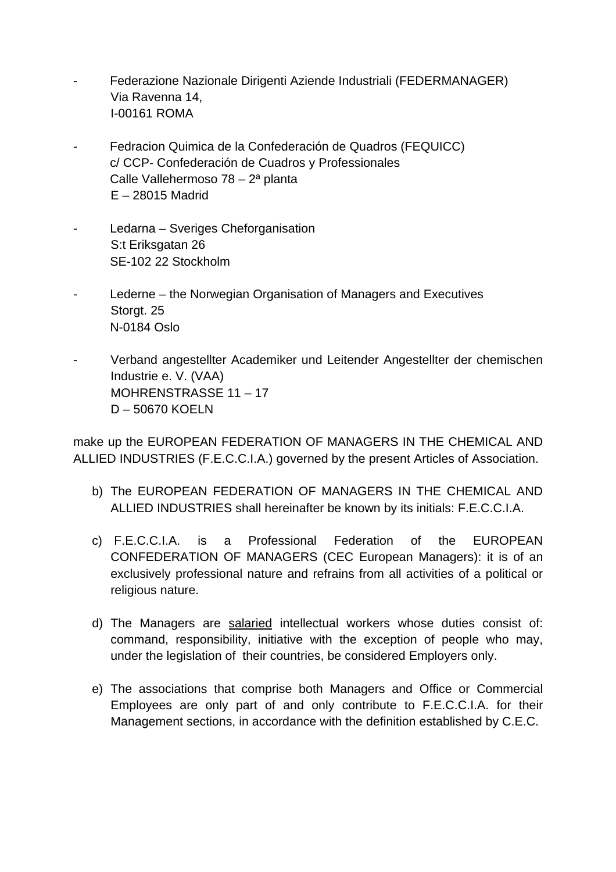- Federazione Nazionale Dirigenti Aziende Industriali (FEDERMANAGER) Via Ravenna 14, I-00161 ROMA
- Fedracion Quimica de la Confederación de Quadros (FEQUICC) c/ CCP- Confederación de Cuadros y Professionales Calle Vallehermoso 78 – 2ª planta E – 28015 Madrid
- Ledarna Sveriges Cheforganisation S:t Eriksgatan 26 SE-102 22 Stockholm
- Lederne the Norwegian Organisation of Managers and Executives Storgt. 25 N-0184 Oslo
- Verband angestellter Academiker und Leitender Angestellter der chemischen Industrie e. V. (VAA) MOHRENSTRASSE 11 – 17 D – 50670 KOELN

make up the EUROPEAN FEDERATION OF MANAGERS IN THE CHEMICAL AND ALLIED INDUSTRIES (F.E.C.C.I.A.) governed by the present Articles of Association.

- b) The EUROPEAN FEDERATION OF MANAGERS IN THE CHEMICAL AND ALLIED INDUSTRIES shall hereinafter be known by its initials: F.E.C.C.I.A.
- c) F.E.C.C.I.A. is a Professional Federation of the EUROPEAN CONFEDERATION OF MANAGERS (CEC European Managers): it is of an exclusively professional nature and refrains from all activities of a political or religious nature.
- d) The Managers are salaried intellectual workers whose duties consist of: command, responsibility, initiative with the exception of people who may, under the legislation of their countries, be considered Employers only.
- e) The associations that comprise both Managers and Office or Commercial Employees are only part of and only contribute to F.E.C.C.I.A. for their Management sections, in accordance with the definition established by C.E.C.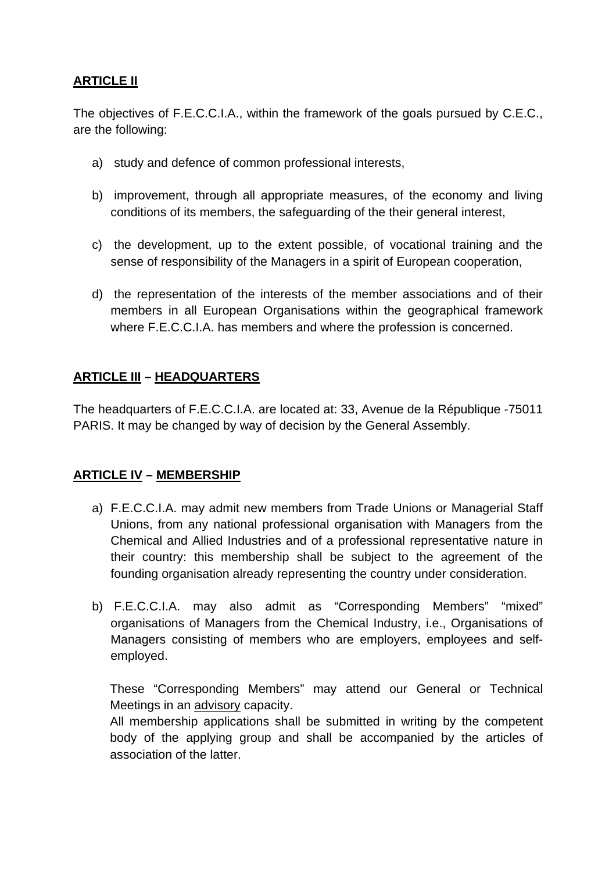# **ARTICLE II**

The objectives of F.E.C.C.I.A., within the framework of the goals pursued by C.E.C., are the following:

- a) study and defence of common professional interests,
- b) improvement, through all appropriate measures, of the economy and living conditions of its members, the safeguarding of the their general interest,
- c) the development, up to the extent possible, of vocational training and the sense of responsibility of the Managers in a spirit of European cooperation,
- d) the representation of the interests of the member associations and of their members in all European Organisations within the geographical framework where F.E.C.C.I.A. has members and where the profession is concerned.

#### **ARTICLE III – HEADQUARTERS**

The headquarters of F.E.C.C.I.A. are located at: 33, Avenue de la République -75011 PARIS. It may be changed by way of decision by the General Assembly.

# **ARTICLE IV – MEMBERSHIP**

- a) F.E.C.C.I.A. may admit new members from Trade Unions or Managerial Staff Unions, from any national professional organisation with Managers from the Chemical and Allied Industries and of a professional representative nature in their country: this membership shall be subject to the agreement of the founding organisation already representing the country under consideration.
- b) F.E.C.C.I.A. may also admit as "Corresponding Members" "mixed" organisations of Managers from the Chemical Industry, i.e., Organisations of Managers consisting of members who are employers, employees and selfemployed.

These "Corresponding Members" may attend our General or Technical Meetings in an advisory capacity.

All membership applications shall be submitted in writing by the competent body of the applying group and shall be accompanied by the articles of association of the latter.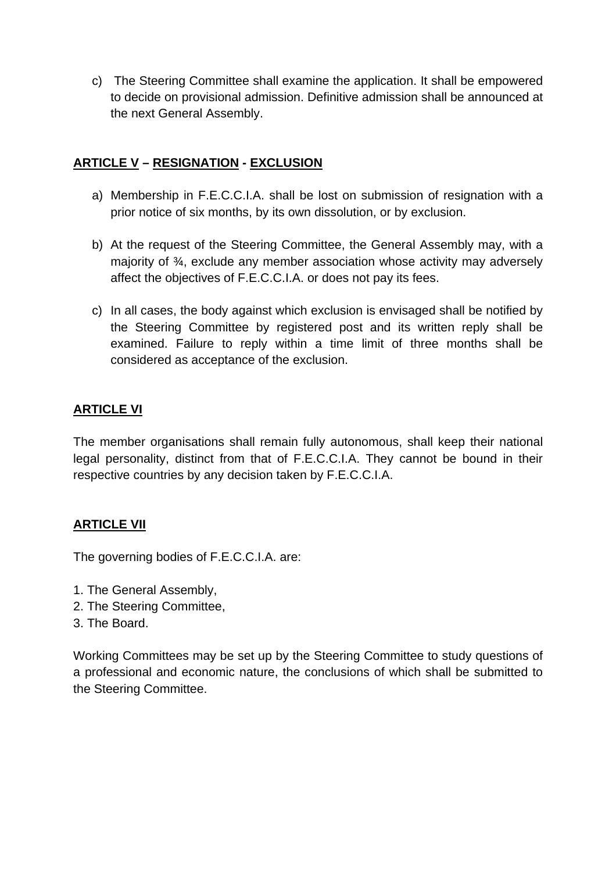c) The Steering Committee shall examine the application. It shall be empowered to decide on provisional admission. Definitive admission shall be announced at the next General Assembly.

# **ARTICLE V – RESIGNATION - EXCLUSION**

- a) Membership in F.E.C.C.I.A. shall be lost on submission of resignation with a prior notice of six months, by its own dissolution, or by exclusion.
- b) At the request of the Steering Committee, the General Assembly may, with a majority of ¾, exclude any member association whose activity may adversely affect the objectives of F.E.C.C.I.A. or does not pay its fees.
- c) In all cases, the body against which exclusion is envisaged shall be notified by the Steering Committee by registered post and its written reply shall be examined. Failure to reply within a time limit of three months shall be considered as acceptance of the exclusion.

# **ARTICLE VI**

The member organisations shall remain fully autonomous, shall keep their national legal personality, distinct from that of F.E.C.C.I.A. They cannot be bound in their respective countries by any decision taken by F.E.C.C.I.A.

# **ARTICLE VII**

The governing bodies of F.E.C.C.I.A. are:

- 1. The General Assembly,
- 2. The Steering Committee,
- 3. The Board.

Working Committees may be set up by the Steering Committee to study questions of a professional and economic nature, the conclusions of which shall be submitted to the Steering Committee.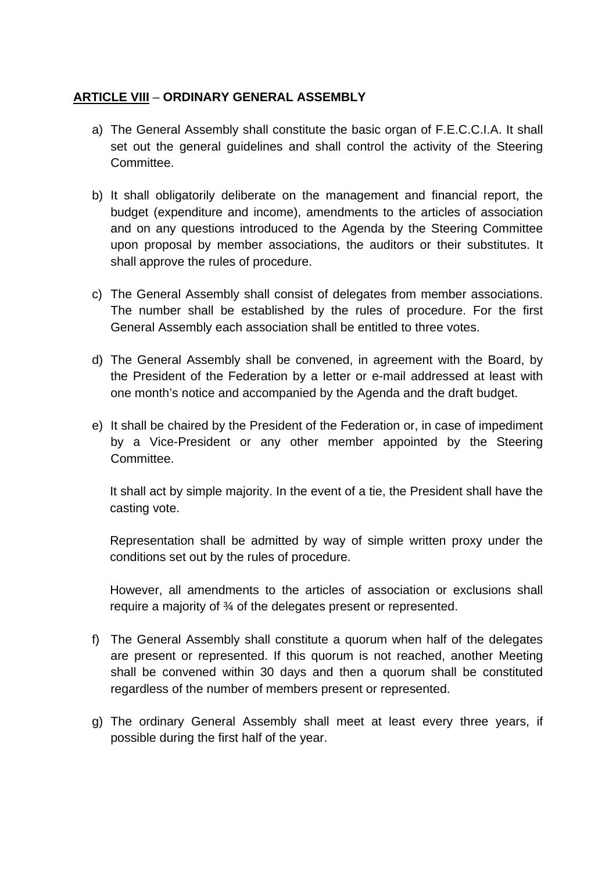#### **ARTICLE VIII** – **ORDINARY GENERAL ASSEMBLY**

- a) The General Assembly shall constitute the basic organ of F.E.C.C.I.A. It shall set out the general guidelines and shall control the activity of the Steering Committee.
- b) It shall obligatorily deliberate on the management and financial report, the budget (expenditure and income), amendments to the articles of association and on any questions introduced to the Agenda by the Steering Committee upon proposal by member associations, the auditors or their substitutes. It shall approve the rules of procedure.
- c) The General Assembly shall consist of delegates from member associations. The number shall be established by the rules of procedure. For the first General Assembly each association shall be entitled to three votes.
- d) The General Assembly shall be convened, in agreement with the Board, by the President of the Federation by a letter or e-mail addressed at least with one month's notice and accompanied by the Agenda and the draft budget.
- e) It shall be chaired by the President of the Federation or, in case of impediment by a Vice-President or any other member appointed by the Steering Committee.

It shall act by simple majority. In the event of a tie, the President shall have the casting vote.

Representation shall be admitted by way of simple written proxy under the conditions set out by the rules of procedure.

However, all amendments to the articles of association or exclusions shall require a majority of ¾ of the delegates present or represented.

- f) The General Assembly shall constitute a quorum when half of the delegates are present or represented. If this quorum is not reached, another Meeting shall be convened within 30 days and then a quorum shall be constituted regardless of the number of members present or represented.
- g) The ordinary General Assembly shall meet at least every three years, if possible during the first half of the year.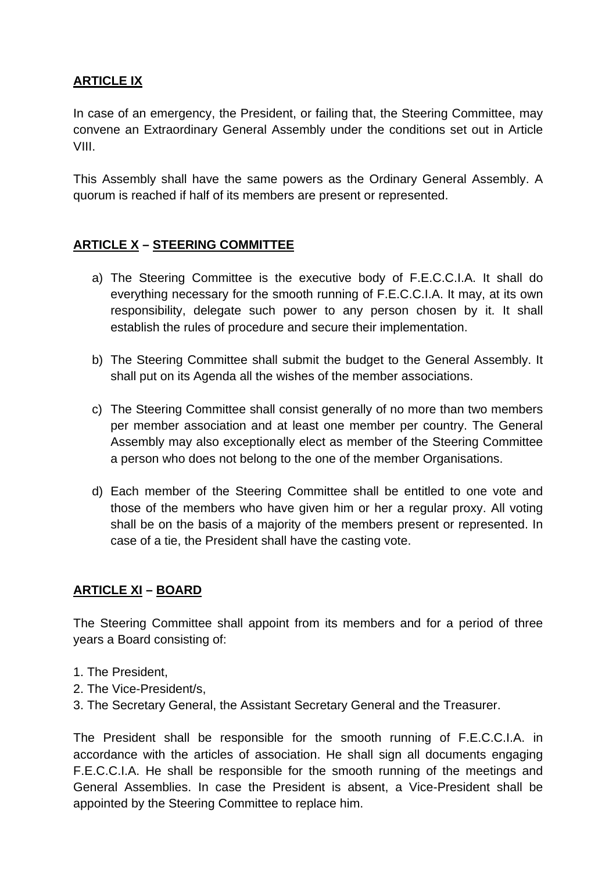## **ARTICLE IX**

In case of an emergency, the President, or failing that, the Steering Committee, may convene an Extraordinary General Assembly under the conditions set out in Article VIII.

This Assembly shall have the same powers as the Ordinary General Assembly. A quorum is reached if half of its members are present or represented.

# **ARTICLE X – STEERING COMMITTEE**

- a) The Steering Committee is the executive body of F.E.C.C.I.A. It shall do everything necessary for the smooth running of F.E.C.C.I.A. It may, at its own responsibility, delegate such power to any person chosen by it. It shall establish the rules of procedure and secure their implementation.
- b) The Steering Committee shall submit the budget to the General Assembly. It shall put on its Agenda all the wishes of the member associations.
- c) The Steering Committee shall consist generally of no more than two members per member association and at least one member per country. The General Assembly may also exceptionally elect as member of the Steering Committee a person who does not belong to the one of the member Organisations.
- d) Each member of the Steering Committee shall be entitled to one vote and those of the members who have given him or her a regular proxy. All voting shall be on the basis of a majority of the members present or represented. In case of a tie, the President shall have the casting vote.

#### **ARTICLE XI – BOARD**

The Steering Committee shall appoint from its members and for a period of three years a Board consisting of:

- 1. The President,
- 2. The Vice-President/s,
- 3. The Secretary General, the Assistant Secretary General and the Treasurer.

The President shall be responsible for the smooth running of F.E.C.C.I.A. in accordance with the articles of association. He shall sign all documents engaging F.E.C.C.I.A. He shall be responsible for the smooth running of the meetings and General Assemblies. In case the President is absent, a Vice-President shall be appointed by the Steering Committee to replace him.